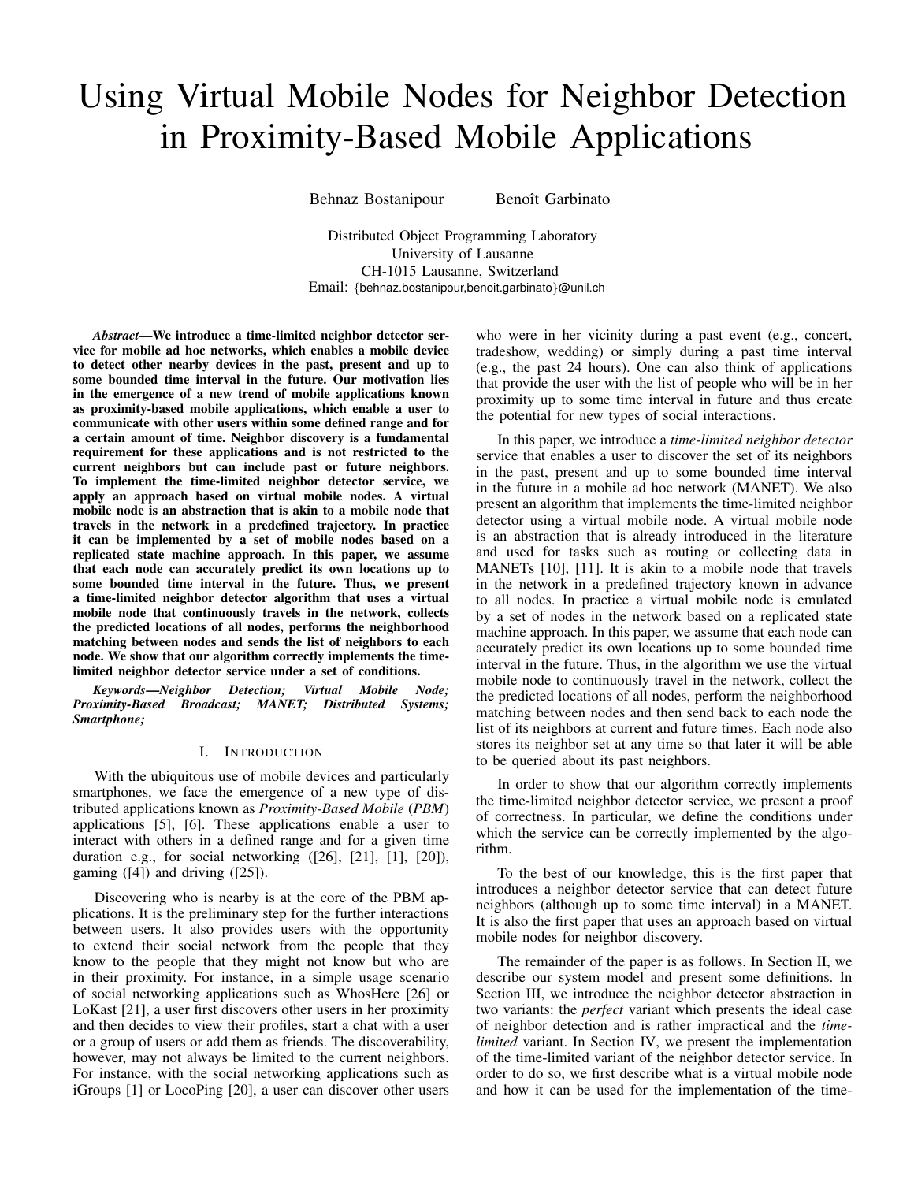# <span id="page-0-0"></span>Using Virtual Mobile Nodes for Neighbor Detection in Proximity-Based Mobile Applications

Behnaz Bostanipour Benoît Garbinato

Distributed Object Programming Laboratory University of Lausanne CH-1015 Lausanne, Switzerland Email: *{*behnaz.bostanipour,benoit.garbinato*}*@unil.ch

*Abstract*—We introduce a time-limited neighbor detector service for mobile ad hoc networks, which enables a mobile device to detect other nearby devices in the past, present and up to some bounded time interval in the future. Our motivation lies in the emergence of a new trend of mobile applications known as proximity-based mobile applications, which enable a user to communicate with other users within some defined range and for a certain amount of time. Neighbor discovery is a fundamental requirement for these applications and is not restricted to the current neighbors but can include past or future neighbors. To implement the time-limited neighbor detector service, we apply an approach based on virtual mobile nodes. A virtual mobile node is an abstraction that is akin to a mobile node that travels in the network in a predefined trajectory. In practice it can be implemented by a set of mobile nodes based on a replicated state machine approach. In this paper, we assume that each node can accurately predict its own locations up to some bounded time interval in the future. Thus, we present a time-limited neighbor detector algorithm that uses a virtual mobile node that continuously travels in the network, collects the predicted locations of all nodes, performs the neighborhood matching between nodes and sends the list of neighbors to each node. We show that our algorithm correctly implements the timelimited neighbor detector service under a set of conditions.

*Keywords*—*Neighbor Detection; Virtual Mobile Node; Proximity-Based Broadcast; MANET; Distributed Systems; Smartphone;*

## I. INTRODUCTION

With the ubiquitous use of mobile devices and particularly smartphones, we face the emergence of a new type of distributed applications known as *Proximity-Based Mobile* (*PBM*) applications [\[5\]](#page-7-0), [\[6\]](#page-7-1). These applications enable a user to interact with others in a defined range and for a given time duration e.g., for social networking ([\[26\]](#page-7-2), [\[21\]](#page-7-3), [\[1\]](#page-7-4), [\[20\]](#page-7-5)), gaming ([\[4\]](#page-7-6)) and driving ([\[25\]](#page-7-7)).

Discovering who is nearby is at the core of the PBM applications. It is the preliminary step for the further interactions between users. It also provides users with the opportunity to extend their social network from the people that they know to the people that they might not know but who are in their proximity. For instance, in a simple usage scenario of social networking applications such as WhosHere [\[26\]](#page-7-2) or LoKast [\[21\]](#page-7-3), a user first discovers other users in her proximity and then decides to view their profiles, start a chat with a user or a group of users or add them as friends. The discoverability, however, may not always be limited to the current neighbors. For instance, with the social networking applications such as iGroups [\[1\]](#page-7-4) or LocoPing [\[20\]](#page-7-5), a user can discover other users who were in her vicinity during a past event (e.g., concert, tradeshow, wedding) or simply during a past time interval (e.g., the past 24 hours). One can also think of applications that provide the user with the list of people who will be in her proximity up to some time interval in future and thus create the potential for new types of social interactions.

In this paper, we introduce a *time-limited neighbor detector* service that enables a user to discover the set of its neighbors in the past, present and up to some bounded time interval in the future in a mobile ad hoc network (MANET). We also present an algorithm that implements the time-limited neighbor detector using a virtual mobile node. A virtual mobile node is an abstraction that is already introduced in the literature and used for tasks such as routing or collecting data in MANETs [\[10\]](#page-7-8), [\[11\]](#page-7-9). It is akin to a mobile node that travels in the network in a predefined trajectory known in advance to all nodes. In practice a virtual mobile node is emulated by a set of nodes in the network based on a replicated state machine approach. In this paper, we assume that each node can accurately predict its own locations up to some bounded time interval in the future. Thus, in the algorithm we use the virtual mobile node to continuously travel in the network, collect the the predicted locations of all nodes, perform the neighborhood matching between nodes and then send back to each node the list of its neighbors at current and future times. Each node also stores its neighbor set at any time so that later it will be able to be queried about its past neighbors.

In order to show that our algorithm correctly implements the time-limited neighbor detector service, we present a proof of correctness. In particular, we define the conditions under which the service can be correctly implemented by the algorithm.

To the best of our knowledge, this is the first paper that introduces a neighbor detector service that can detect future neighbors (although up to some time interval) in a MANET. It is also the first paper that uses an approach based on virtual mobile nodes for neighbor discovery.

The remainder of the paper is as follows. In Section [II,](#page-1-0) we describe our system model and present some definitions. In Section [III,](#page-1-1) we introduce the neighbor detector abstraction in two variants: the *perfect* variant which presents the ideal case of neighbor detection and is rather impractical and the *timelimited* variant. In Section [IV,](#page-2-0) we present the implementation of the time-limited variant of the neighbor detector service. In order to do so, we first describe what is a virtual mobile node and how it can be used for the implementation of the time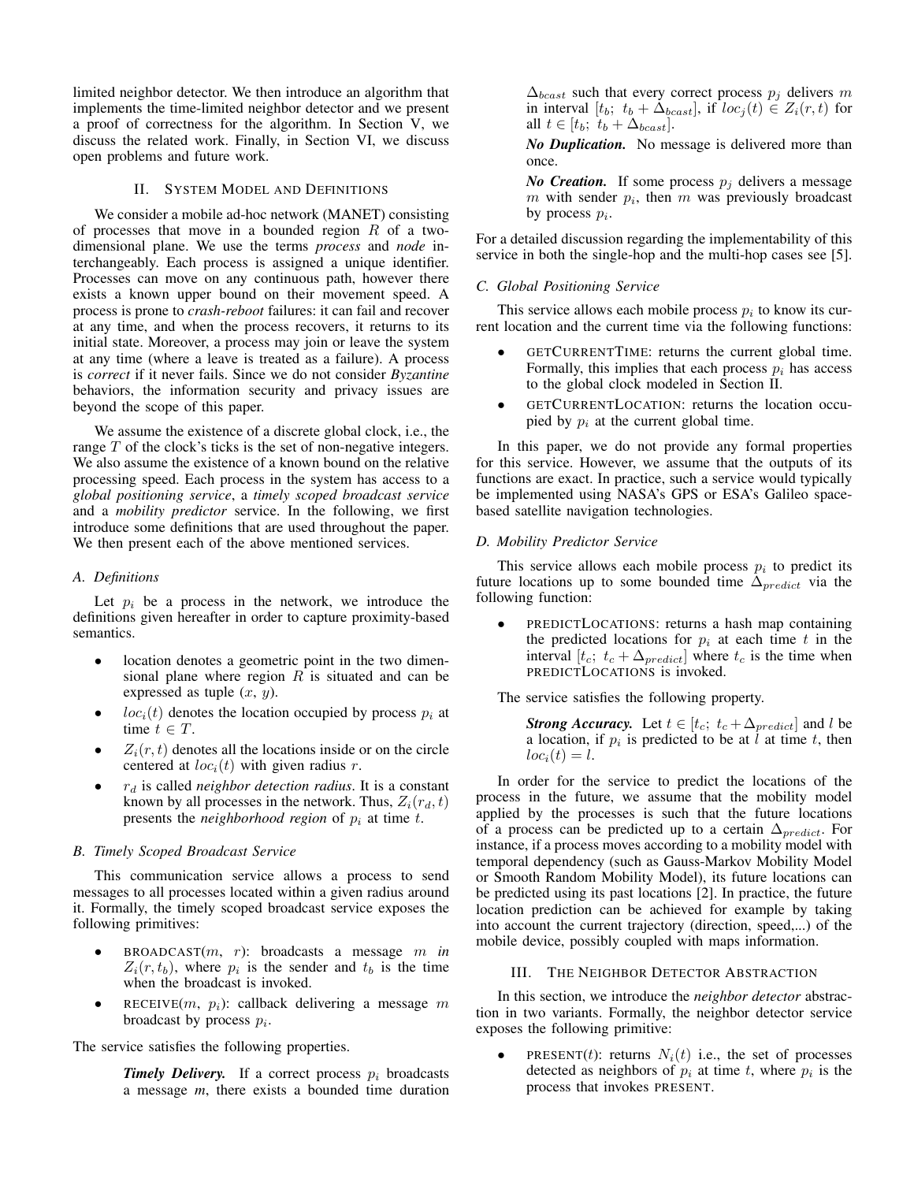limited neighbor detector. We then introduce an algorithm that implements the time-limited neighbor detector and we present a proof of correctness for the algorithm. In Section [V,](#page-6-0) we discuss the related work. Finally, in Section [VI,](#page-7-10) we discuss open problems and future work.

# II. SYSTEM MODEL AND DEFINITIONS

<span id="page-1-0"></span>We consider a mobile ad-hoc network (MANET) consisting of processes that move in a bounded region *R* of a twodimensional plane. We use the terms *process* and *node* interchangeably. Each process is assigned a unique identifier. Processes can move on any continuous path, however there exists a known upper bound on their movement speed. A process is prone to *crash-reboot* failures: it can fail and recover at any time, and when the process recovers, it returns to its initial state. Moreover, a process may join or leave the system at any time (where a leave is treated as a failure). A process is *correct* if it never fails. Since we do not consider *Byzantine* behaviors, the information security and privacy issues are beyond the scope of this paper.

We assume the existence of a discrete global clock, i.e., the range *T* of the clock's ticks is the set of non-negative integers. We also assume the existence of a known bound on the relative processing speed. Each process in the system has access to a *global positioning service*, a *timely scoped broadcast service* and a *mobility predictor* service. In the following, we first introduce some definitions that are used throughout the paper. We then present each of the above mentioned services.

#### *A. Definitions*

Let  $p_i$  be a process in the network, we introduce the definitions given hereafter in order to capture proximity-based semantics.

- location denotes a geometric point in the two dimensional plane where region *R* is situated and can be expressed as tuple (*x*, *y*).
- $loc<sub>i</sub>(t)$  denotes the location occupied by process  $p<sub>i</sub>$  at time  $t \in T$ .
- $Z_i(r, t)$  denotes all the locations inside or on the circle centered at  $loc<sub>i</sub>(t)$  with given radius *r*.
- *• r<sup>d</sup>* is called *neighbor detection radius*. It is a constant known by all processes in the network. Thus,  $Z_i(r_d, t)$ presents the *neighborhood region* of *p<sup>i</sup>* at time *t*.

## *B. Timely Scoped Broadcast Service*

This communication service allows a process to send messages to all processes located within a given radius around it. Formally, the timely scoped broadcast service exposes the following primitives:

- $BROADCAST(m, r)$ : broadcasts a message *m in*  $Z_i(r, t_b)$ , where  $p_i$  is the sender and  $t_b$  is the time when the broadcast is invoked.
- $RECEIVE(m, p<sub>i</sub>)$ : callback delivering a message *m* broadcast by process *pi*.

The service satisfies the following properties.

**Timely Delivery.** If a correct process  $p_i$  broadcasts a message *m*, there exists a bounded time duration  $\Delta_{beast}$  such that every correct process  $p_i$  delivers *m* in interval  $[t_b; t_b + \Delta_{beast}]$ , if  $loc_i(t) \in Z_i(r, t)$  for all  $t \in [t_b; t_b + \Delta_{beast}].$ 

*No Duplication.* No message is delivered more than once.

*No Creation.* If some process  $p_j$  delivers a message *m* with sender  $p_i$ , then *m* was previously broadcast by process *pi*.

For a detailed discussion regarding the implementability of this service in both the single-hop and the multi-hop cases see [\[5\]](#page-7-0).

## *C. Global Positioning Service*

This service allows each mobile process  $p_i$  to know its current location and the current time via the following functions:

- GETCURRENTTIME: returns the current global time. Formally, this implies that each process  $p_i$  has access to the global clock modeled in Section [II.](#page-1-0)
- *•* GETCURRENTLOCATION: returns the location occupied by  $p_i$  at the current global time.

In this paper, we do not provide any formal properties for this service. However, we assume that the outputs of its functions are exact. In practice, such a service would typically be implemented using NASA's GPS or ESA's Galileo spacebased satellite navigation technologies.

## *D. Mobility Predictor Service*

This service allows each mobile process  $p_i$  to predict its future locations up to some bounded time  $\Delta_{predict}$  via the following function:

*•* PREDICTLOCATIONS: returns a hash map containing the predicted locations for  $p_i$  at each time  $t$  in the interval  $[t_c; t_c + \Delta_{predict}]$  where  $t_c$  is the time when PREDICTLOCATIONS is invoked.

The service satisfies the following property.

*Strong Accuracy.* Let  $t \in [t_c; t_c + \Delta_{predict}]$  and *l* be a location, if  $p_i$  is predicted to be at *l* at time *t*, then  $loc_i(t) = l$ .

In order for the service to predict the locations of the process in the future, we assume that the mobility model applied by the processes is such that the future locations of a process can be predicted up to a certain  $\Delta_{predict}$ . For instance, if a process moves according to a mobility model with temporal dependency (such as Gauss-Markov Mobility Model or Smooth Random Mobility Model), its future locations can be predicted using its past locations [\[2\]](#page-7-11). In practice, the future location prediction can be achieved for example by taking into account the current trajectory (direction, speed,...) of the mobile device, possibly coupled with maps information.

## III. THE NEIGHBOR DETECTOR ABSTRACTION

<span id="page-1-1"></span>In this section, we introduce the *neighbor detector* abstraction in two variants. Formally, the neighbor detector service exposes the following primitive:

**PRESENT(***t*): returns  $N_i(t)$  i.e., the set of processes detected as neighbors of  $p_i$  at time *t*, where  $p_i$  is the process that invokes PRESENT.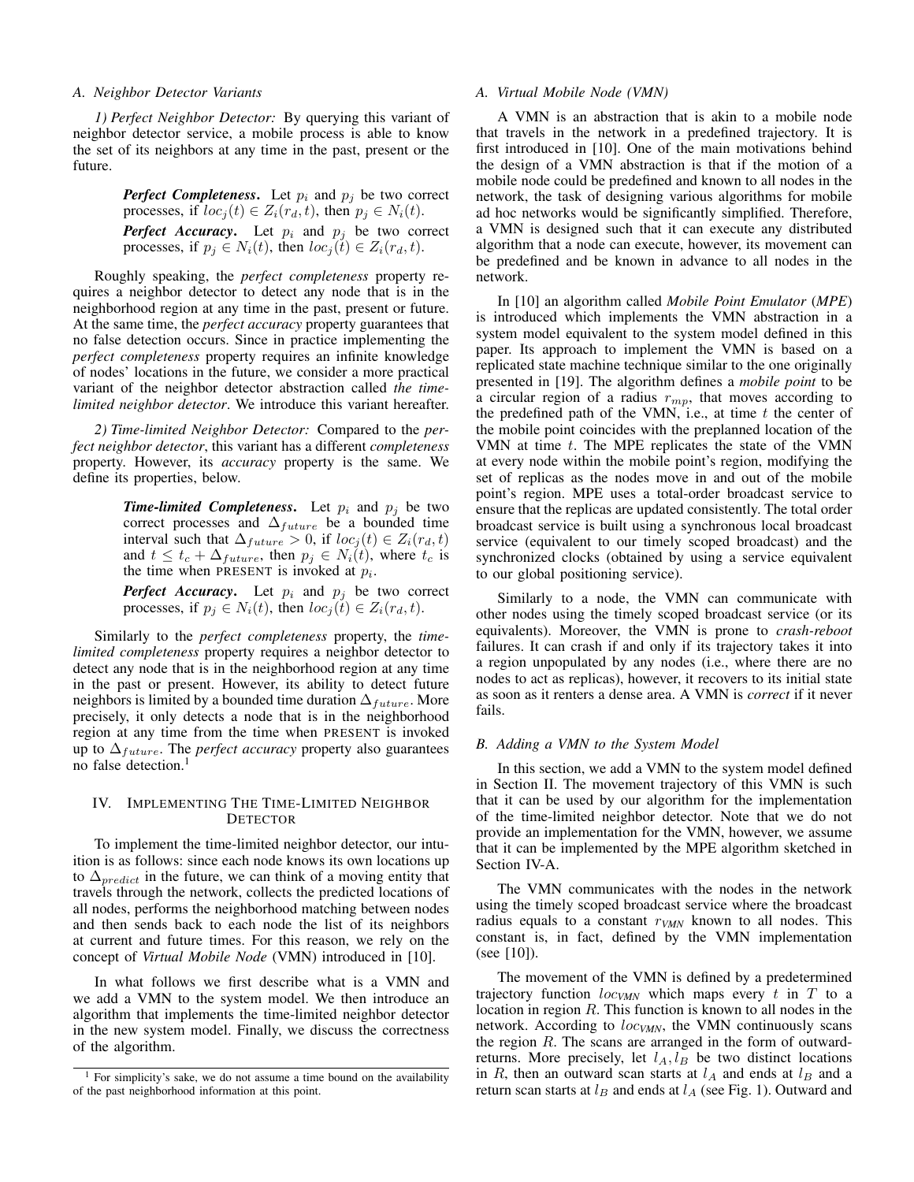## *A. Neighbor Detector Variants*

*1) Perfect Neighbor Detector:* By querying this variant of neighbor detector service, a mobile process is able to know the set of its neighbors at any time in the past, present or the future.

> *Perfect Completeness.* Let  $p_i$  and  $p_j$  be two correct processes, if  $loc_j(t) \in Z_i(r_d, t)$ , then  $p_j \in N_i(t)$ .

> *Perfect Accuracy***.** Let  $p_i$  and  $p_j$  be two correct processes, if  $p_i \in N_i(t)$ , then  $loc_i(t) \in Z_i(r_d, t)$ .

Roughly speaking, the *perfect completeness* property requires a neighbor detector to detect any node that is in the neighborhood region at any time in the past, present or future. At the same time, the *perfect accuracy* property guarantees that no false detection occurs. Since in practice implementing the *perfect completeness* property requires an infinite knowledge of nodes' locations in the future, we consider a more practical variant of the neighbor detector abstraction called *the timelimited neighbor detector*. We introduce this variant hereafter.

<span id="page-2-3"></span>*2) Time-limited Neighbor Detector:* Compared to the *perfect neighbor detector*, this variant has a different *completeness* property. However, its *accuracy* property is the same. We define its properties, below.

> **Time-limited Completeness.** Let  $p_i$  and  $p_j$  be two correct processes and  $\Delta_{future}$  be a bounded time interval such that  $\Delta_{future} > 0$ , if  $loc_j(t) \in Z_i(r_d, t)$ and  $t \leq t_c + \Delta_{future}$ , then  $p_j \in N_i(t)$ , where  $t_c$  is the time when PRESENT is invoked at *pi*.

> *Perfect Accuracy***.** Let  $p_i$  and  $p_j$  be two correct processes, if  $p_j \in N_i(t)$ , then  $loc_j(t) \in Z_i(r_d, t)$ .

Similarly to the *perfect completeness* property, the *timelimited completeness* property requires a neighbor detector to detect any node that is in the neighborhood region at any time in the past or present. However, its ability to detect future neighbors is limited by a bounded time duration  $\Delta_{future}$ . More precisely, it only detects a node that is in the neighborhood region at any time from the time when PRESENT is invoked up to  $\Delta_{future}$ . The *perfect accuracy* property also guarantees no false detection.[1](#page-2-1)

# <span id="page-2-0"></span>IV. IMPLEMENTING THE TIME-LIMITED NEIGHBOR **DETECTOR**

To implement the time-limited neighbor detector, our intuition is as follows: since each node knows its own locations up to  $\Delta_{predict}$  in the future, we can think of a moving entity that travels through the network, collects the predicted locations of all nodes, performs the neighborhood matching between nodes and then sends back to each node the list of its neighbors at current and future times. For this reason, we rely on the concept of *Virtual Mobile Node* (VMN) introduced in [\[10\]](#page-7-8).

In what follows we first describe what is a VMN and we add a VMN to the system model. We then introduce an algorithm that implements the time-limited neighbor detector in the new system model. Finally, we discuss the correctness of the algorithm.

## <span id="page-2-2"></span>*A. Virtual Mobile Node (VMN)*

A VMN is an abstraction that is akin to a mobile node that travels in the network in a predefined trajectory. It is first introduced in [\[10\]](#page-7-8). One of the main motivations behind the design of a VMN abstraction is that if the motion of a mobile node could be predefined and known to all nodes in the network, the task of designing various algorithms for mobile ad hoc networks would be significantly simplified. Therefore, a VMN is designed such that it can execute any distributed algorithm that a node can execute, however, its movement can be predefined and be known in advance to all nodes in the network.

In [\[10\]](#page-7-8) an algorithm called *Mobile Point Emulator* (*MPE*) is introduced which implements the VMN abstraction in a system model equivalent to the system model defined in this paper. Its approach to implement the VMN is based on a replicated state machine technique similar to the one originally presented in [\[19\]](#page-7-12). The algorithm defines a *mobile point* to be a circular region of a radius *rmp*, that moves according to the predefined path of the VMN, i.e., at time *t* the center of the mobile point coincides with the preplanned location of the VMN at time *t*. The MPE replicates the state of the VMN at every node within the mobile point's region, modifying the set of replicas as the nodes move in and out of the mobile point's region. MPE uses a total-order broadcast service to ensure that the replicas are updated consistently. The total order broadcast service is built using a synchronous local broadcast service (equivalent to our timely scoped broadcast) and the synchronized clocks (obtained by using a service equivalent to our global positioning service).

Similarly to a node, the VMN can communicate with other nodes using the timely scoped broadcast service (or its equivalents). Moreover, the VMN is prone to *crash-reboot* failures. It can crash if and only if its trajectory takes it into a region unpopulated by any nodes (i.e., where there are no nodes to act as replicas), however, it recovers to its initial state as soon as it renters a dense area. A VMN is *correct* if it never fails.

#### *B. Adding a VMN to the System Model*

In this section, we add a VMN to the system model defined in Section [II.](#page-1-0) The movement trajectory of this VMN is such that it can be used by our algorithm for the implementation of the time-limited neighbor detector. Note that we do not provide an implementation for the VMN, however, we assume that it can be implemented by the MPE algorithm sketched in Section [IV-A.](#page-2-2)

The VMN communicates with the nodes in the network using the timely scoped broadcast service where the broadcast radius equals to a constant *rVMN* known to all nodes. This constant is, in fact, defined by the VMN implementation (see [\[10\]](#page-7-8)).

The movement of the VMN is defined by a predetermined trajectory function  $loc_{VMN}$  which maps every  $t$  in  $T$  to a location in region *R*. This function is known to all nodes in the network. According to *locVMN*, the VMN continuously scans the region *R*. The scans are arranged in the form of outwardreturns. More precisely, let  $l_A$ ,  $l_B$  be two distinct locations in *R*, then an outward scan starts at  $l_A$  and ends at  $l_B$  and a return scan starts at *l<sup>B</sup>* and ends at *l<sup>A</sup>* (see Fig. [1\)](#page-3-0). Outward and

<span id="page-2-1"></span><sup>&</sup>lt;sup>1</sup> For simplicity's sake, we do not assume a time bound on the availability of the past neighborhood information at this point.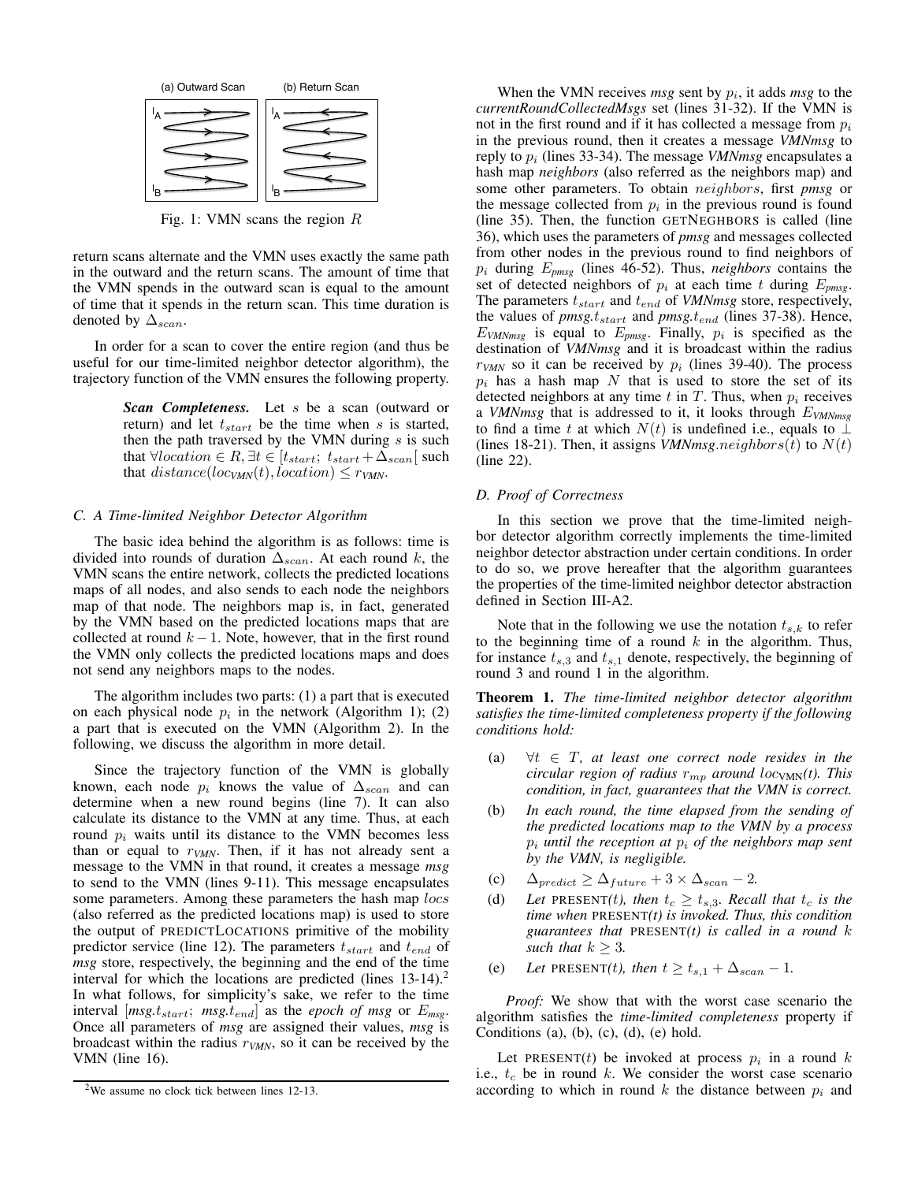<span id="page-3-0"></span>

Fig. 1: VMN scans the region *R*

return scans alternate and the VMN uses exactly the same path in the outward and the return scans. The amount of time that the VMN spends in the outward scan is equal to the amount of time that it spends in the return scan. This time duration is denoted by  $\Delta_{scan}$ .

In order for a scan to cover the entire region (and thus be useful for our time-limited neighbor detector algorithm), the trajectory function of the VMN ensures the following property.

> *Scan Completeness.* Let *s* be a scan (outward or return) and let *tstart* be the time when *s* is started, then the path traversed by the VMN during *s* is such that  $\forall location \in R, \exists t \in [t_{start}; t_{start} + \Delta_{scan}[ such$ that  $distance(loc_{VMN}(t), location) \leq r_{VMN}$ .

## *C. A Time-limited Neighbor Detector Algorithm*

The basic idea behind the algorithm is as follows: time is divided into rounds of duration  $\Delta_{scan}$ . At each round k, the VMN scans the entire network, collects the predicted locations maps of all nodes, and also sends to each node the neighbors map of that node. The neighbors map is, in fact, generated by the VMN based on the predicted locations maps that are collected at round  $k - 1$ . Note, however, that in the first round the VMN only collects the predicted locations maps and does not send any neighbors maps to the nodes.

The algorithm includes two parts: (1) a part that is executed on each physical node  $p_i$  in the network (Algorithm [1\)](#page-0-0); (2) a part that is executed on the VMN (Algorithm [2\)](#page-0-0). In the following, we discuss the algorithm in more detail.

Since the trajectory function of the VMN is globally known, each node  $p_i$  knows the value of  $\Delta_{scan}$  and can determine when a new round begins (line [7\)](#page-4-0). It can also calculate its distance to the VMN at any time. Thus, at each round  $p_i$  waits until its distance to the VMN becomes less than or equal to *rVMN*. Then, if it has not already sent a message to the VMN in that round, it creates a message *msg* to send to the VMN (lines [9-](#page-4-1)[11\)](#page-4-2). This message encapsulates some parameters. Among these parameters the hash map *locs* (also referred as the predicted locations map) is used to store the output of PREDICTLOCATIONS primitive of the mobility predictor service (line [12\)](#page-4-3). The parameters *tstart* and *tend* of *msg* store, respectively, the beginning and the end of the time interval for which the locations are predicted (lines  $13-14$ ).<sup>[2](#page-3-1)</sup> In what follows, for simplicity's sake, we refer to the time interval  $|msg.t_{start}; mg.t_{end}|$  as the *epoch of msg* or  $E_{msg}$ . Once all parameters of *msg* are assigned their values, *msg* is broadcast within the radius *rVMN*, so it can be received by the VMN (line [16\)](#page-4-6).

When the VMN receives *msg* sent by *pi*, it adds *msg* to the *currentRoundCollectedMsgs* set (lines [31](#page-4-7)[-32\)](#page-4-8). If the VMN is not in the first round and if it has collected a message from *p<sup>i</sup>* in the previous round, then it creates a message *VMNmsg* to reply to *p<sup>i</sup>* (lines [33](#page-4-9)[-34\)](#page-4-10). The message *VMNmsg* encapsulates a hash map *neighbors* (also referred as the neighbors map) and some other parameters. To obtain *neighbors*, first *pmsg* or the message collected from  $p_i$  in the previous round is found (line [35\)](#page-4-11). Then, the function GETNEGHBORS is called (line [36\)](#page-4-12), which uses the parameters of *pmsg* and messages collected from other nodes in the previous round to find neighbors of *p<sup>i</sup>* during *Epmsg* (lines [46-](#page-4-13)[52\)](#page-4-14). Thus, *neighbors* contains the set of detected neighbors of  $p_i$  at each time  $t$  during  $E_{p m s g}$ . The parameters *tstart* and *tend* of *VMNmsg* store, respectively, the values of *pmsg.tstart* and *pmsg.tend* (lines [37-](#page-4-15)[38\)](#page-4-16). Hence,  $E_{VMNmsg}$  is equal to  $E_{pmg}$ . Finally,  $p_i$  is specified as the destination of *VMNmsg* and it is broadcast within the radius  $r_{VMN}$  so it can be received by  $p_i$  (lines [39](#page-4-17)[-40\)](#page-4-18). The process  $p_i$  has a hash map  $N$  that is used to store the set of its detected neighbors at any time  $t$  in  $T$ . Thus, when  $p_i$  receives a *VMNmsg* that is addressed to it, it looks through *EVMNmsg* to find a time *t* at which  $N(t)$  is undefined i.e., equals to  $\perp$ (lines [18](#page-4-19)[-21\)](#page-4-20). Then, it assigns *VMNmsg.neighbors* $(t)$  to  $N(t)$ (line [22\)](#page-4-21).

#### *D. Proof of Correctness*

In this section we prove that the time-limited neighbor detector algorithm correctly implements the time-limited neighbor detector abstraction under certain conditions. In order to do so, we prove hereafter that the algorithm guarantees the properties of the time-limited neighbor detector abstraction defined in Section [III-A2.](#page-2-3)

Note that in the following we use the notation  $t_{s,k}$  to refer to the beginning time of a round *k* in the algorithm. Thus, for instance  $t_{s,3}$  and  $t_{s,1}$  denote, respectively, the beginning of round 3 and round 1 in the algorithm.

<span id="page-3-2"></span>Theorem 1. *The time-limited neighbor detector algorithm satisfies the time-limited completeness property if the following conditions hold:*

- (a)  $\forall t \in T$ , at least one correct node resides in the *circular region of radius*  $r_{mp}$  *around*  $loc_{VMN}(t)$ *. This condition, in fact, guarantees that the VMN is correct.*
- (b) *In each round, the time elapsed from the sending of the predicted locations map to the VMN by a process p<sup>i</sup> until the reception at p<sup>i</sup> of the neighbors map sent by the VMN, is negligible.*
- (c)  $\Delta_{predict} \geq \Delta_{future} + 3 \times \Delta_{scan} 2$ .
- (d) Let PRESENT(*t*), then  $t_c \geq t_{s,3}$ . Recall that  $t_c$  is the *time when* PRESENT*(t) is invoked. Thus, this condition guarantees that* PRESENT*(t) is called in a round k such that*  $k \geq 3$ .
- (e) Let PRESENT(*t*), then  $t \ge t_{s,1} + \Delta_{scan} 1$ .

*Proof:* We show that with the worst case scenario the algorithm satisfies the *time-limited completeness* property if Conditions (a), (b), (c), (d), (e) hold.

Let PRESENT(*t*) be invoked at process  $p_i$  in a round  $k$ i.e., *t<sup>c</sup>* be in round *k*. We consider the worst case scenario according to which in round  $k$  the distance between  $p_i$  and

<span id="page-3-1"></span><sup>&</sup>lt;sup>2</sup>We assume no clock tick between lines [12-](#page-4-3)[13.](#page-4-4)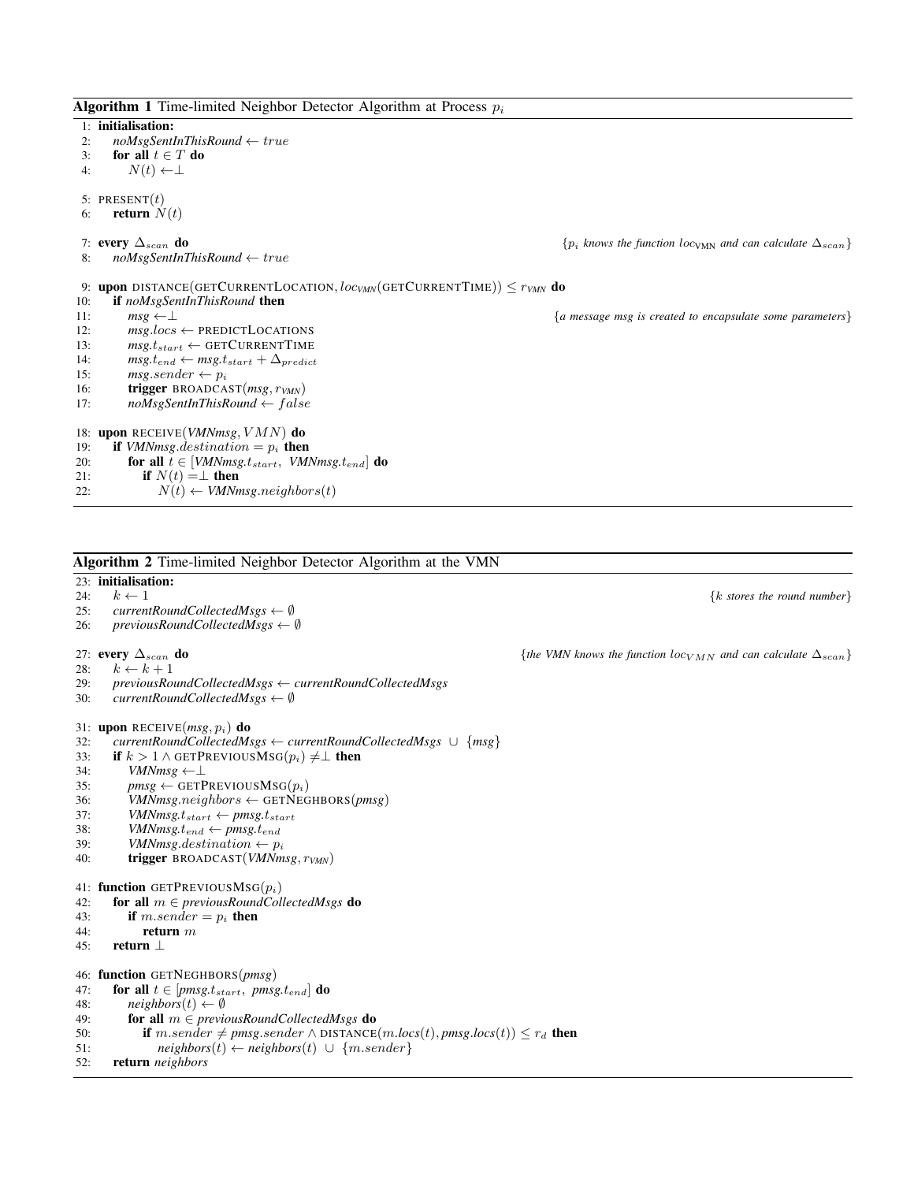Algorithm 1 Time-limited Neighbor Detector Algorithm at Process *p<sup>i</sup>*

<span id="page-4-5"></span><span id="page-4-4"></span><span id="page-4-3"></span><span id="page-4-2"></span><span id="page-4-1"></span><span id="page-4-0"></span>1: initialisation: 2: *noMsgSentInThisRound*  $\leftarrow$  true<br>3: **for all**  $t \in T$  **do** 3: **for all**  $t \in T$  **do**<br>4:  $N(t) \leftarrow \perp$  $N(t) \leftarrow \perp$ 5: PRESENT $(t)$ 6: **return**  $N(t)$ 7: **every**  $\Delta_{scan}$  **do**  $\{p_i \text{ knows the function locv_M} \}$  *and can calculate*  $\Delta_{scan}$ *}*  $\{p_i \text{ knows the function locv_M} \}$ 8: *noMsgSentInThisRound true* 9: **upon** DISTANCE(GETCURRENTLOCATION,  $loc_{M}$ (GETCURRENTTIME))  $\leq r_{V}$ *MN* do 10: **if**  $noMseSentInThisRound$  **then** if  $noMsgSentInThisRound$  then<br> $msg \leftarrow \perp$ 11:  $msg \leftarrow \perp$ <br>12:  $msg \cdot loss \leftarrow \text{PREDICTLOCALIONS}$ <br>12:  $msg \cdot loss \leftarrow \text{PREDICTLOCALIONS}$ 12:  $msg~loss \leftarrow \text{PREDICTLOCALOCATIONS}$ <br>13:  $msg~t_{start} \leftarrow \text{GETCURRENTTIME}$ 13:  $msg.t_{start} \leftarrow \text{GETCURRENTTIME}$ <br>
14:  $msg.t_{end} \leftarrow msg.t_{start} + \Delta_{negicit}$ 14:  $msg.t_{end} \leftarrow msg.t_{start} + \Delta_{predict}$ <br>15:  $msg.sender \leftarrow p_i$ 15: *msg.sender*  $\leftarrow p_i$ <br>16: **trigger** BROADCA 16: trigger BROADCAST(*msg, rVMN*) 17: *noMsgSentInThisRound f alse* 18: upon RECEIVE(*VMNmsg,VMN*) do 19: **if** *VMNmsg.destination* =  $p_i$  **then**<br>20: **for all**  $t \in$  *[VMNmsg.t<sub>start</sub>, VM]* 20: **for all**  $\tilde{t} \in [VMNmsg.t_{start}, VMNmsg.t_{end}]$  **do**<br>21: **if**  $N(t) = \perp$  **then** 21: **if**  $N(t) = \perp$  then<br>22:  $N(t) \leftarrow VMNn$  $N(t) \leftarrow$  *VMNmsg.neighbors*(*t*)

<span id="page-4-24"></span><span id="page-4-23"></span><span id="page-4-22"></span><span id="page-4-21"></span><span id="page-4-20"></span><span id="page-4-19"></span><span id="page-4-18"></span><span id="page-4-17"></span><span id="page-4-16"></span><span id="page-4-15"></span><span id="page-4-14"></span><span id="page-4-13"></span><span id="page-4-12"></span><span id="page-4-11"></span><span id="page-4-10"></span><span id="page-4-9"></span><span id="page-4-8"></span><span id="page-4-7"></span><span id="page-4-6"></span>Algorithm 2 Time-limited Neighbor Detector Algorithm at the VMN 23: **initialisation:**<br>24:  $k \leftarrow 1$ 24:  $k \leftarrow 1$  {*k* stores the round number}<br>25: currentRoundCollectedMsgs  $\leftarrow \emptyset$ 25: *currentRoundCollectedMsgs*  $\leftarrow$  0<br>26: *previousRoundCollectedMsgs*  $\leftarrow$  $previousRoundCollectedMsgs \leftarrow \emptyset$ 27: **every**  $\Delta_{scan}$  **do**  ${the$  *{the VMN knows the function*  $\log_{VMN}$  *and can calculate*  $\Delta_{scan}$ *}*<br>28:  $k \leftarrow k+1$ 28:  $k \leftarrow k + 1$ <br>29: *previousRo* 29: *previousRoundCollectedMsgs currentRoundCollectedMsgs*  $currentRoundCollectedMsgs \leftarrow \emptyset$ 31: upon RECEIVE(*msg, pi*) do 32: *currentRoundCollectedMsgs*  $\leftarrow$  *currentRoundCollectedMsgs*  $\cup$  {*msg*}<br>33: **if**  $k > 1 \wedge$  GETPREVIOUSMSG $(p_i) \neq \perp$  **then** 33: **if**  $k > 1 \wedge$  GETPREVIOUSMSG $(p_i) \neq \perp$  **then**<br>34: *VMNmsg*  $\leftarrow \perp$ 34:  $VMNmsg \leftarrow \perp$ <br>35:  $pmsg \leftarrow GET$ 35:  $pmsg \leftarrow \text{GETPREVIOUSMSG}(p_i)$ <br>36:  $VMNmsg.neiabbors \leftarrow \text{GETNEG}$ 36: *VMNmsg.neighbors*  $\leftarrow$  GETNEGHBORS(*pmsg*)<br>37: *VMNmsg.t.start*  $\leftarrow$  *pmsg.t.start* 37: *VMNmsg.t*<sub>start</sub>  $\leftarrow$  *pmsg.t*<sub>start</sub><br>38: *VMNmsg.t<sub>end</sub>*  $\leftarrow$  *pmsg.t<sub>end</sub>* 38: *VMNmsg.t<sub>end</sub>*  $\leftarrow pmsg.t_{end}$ <br>39: *VMNmsg.destination*  $\leftarrow p$ 39: *VMNmsg.destination*  $\leftarrow p_i$ <br>40: **trigger** BROADCAST(*VMNm* 40: trigger BROADCAST(*VMNmsg, rVMN*) 41: **function** GETPREVIOUSMSG $(p_i)$ <br>42: **for all**  $m \in previousRoundCol$ 42: **for all**  $m \in previousRoundCollectedMsgs$  **do**<br>43: **if**  $m.sender = p_i$  **then** if  $m.semder = p_i$  then 44: return *m* 45: return  $\perp$ 46: function GETNEGHBORS(*pmsg*) 47: **for all**  $t \in [pmsg.t_{start}, pmsg.t_{end}]$  **do**<br>48: *neighbors*(*t*)  $\leftarrow \emptyset$ 48: *neighbors* $(t) \leftarrow \emptyset$ <br>49: **for all**  $m \in previ$ 49: **for all**  $m \in previously.$  **60 61 62 63 64 65 65 66 66 67 68 68 69 69 69 69 69 69 69 69 69 69 69 69 69**50: **if**  $m.\text{sender} \neq pmsg.\text{sender} \land \text{DISTANCE}(m.\text{loss}(t), pmsg.\text{loss}(t)) \leq r_d$  then  $51$ :  $neighbour\}$ 51: *neighbors*(*t*)  $\leftarrow$  *neighbors*(*t*)  $\cup$  {*m.sender*}<br>52: **return** *neighbors* 52: return *neighbors*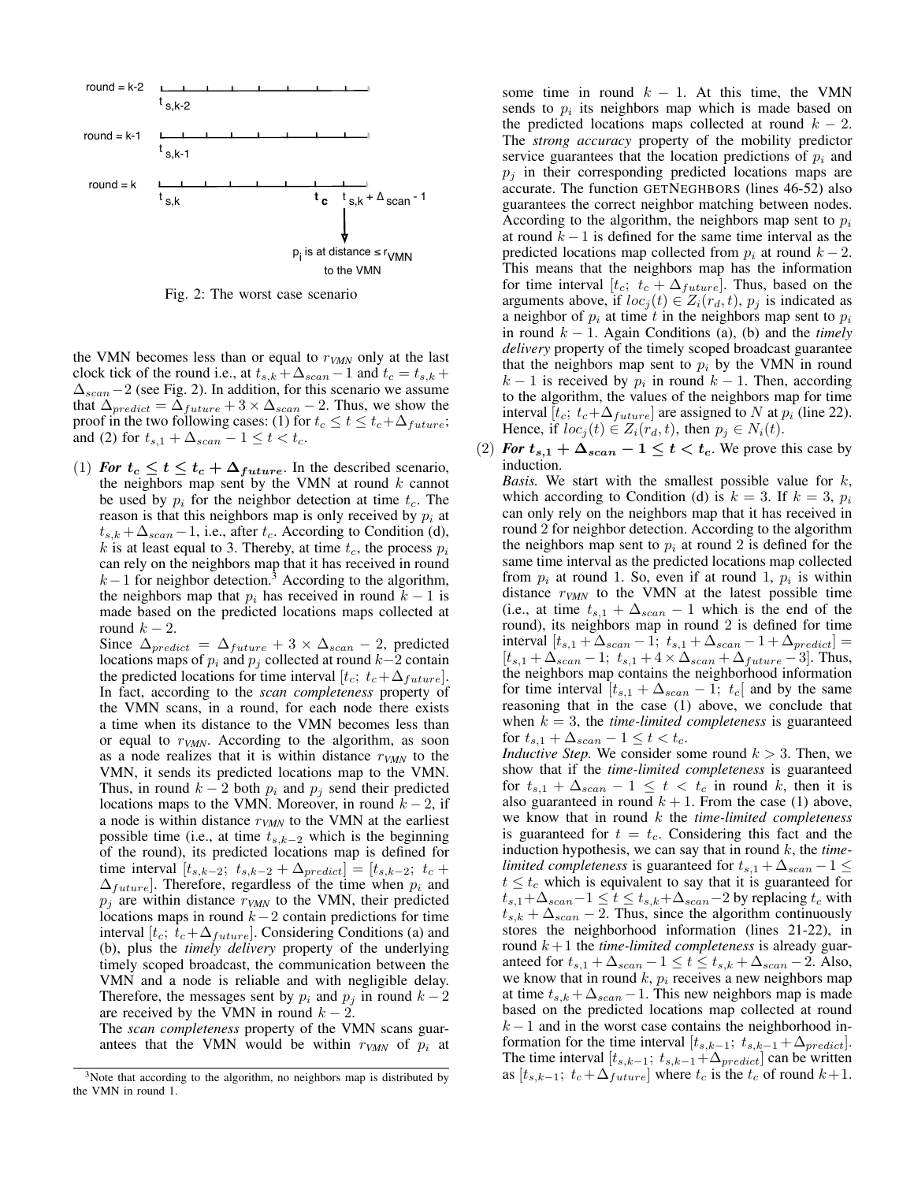<span id="page-5-0"></span>

Fig. 2: The worst case scenario

the VMN becomes less than or equal to *rVMN* only at the last clock tick of the round i.e., at  $t_{s,k} + \Delta_{scan} - 1$  and  $t_c = t_{s,k} + \Delta_{scan} - 1$  $\Delta_{scan}$  – 2 (see Fig. [2\)](#page-5-0). In addition, for this scenario we assume that  $\Delta_{predict} = \Delta_{future} + 3 \times \Delta_{scan} - 2$ . Thus, we show the proof in the two following cases: (1) for  $t_c \leq t \leq t_c + \Delta_{future}$ ; and (2) for  $t_{s,1} + \Delta_{scan} - 1 \le t < t_c$ .

(1) *For*  $t_c \le t \le t_c + \Delta_{future}$ . In the described scenario, the neighbors map sent by the VMN at round *k* cannot be used by  $p_i$  for the neighbor detection at time  $t_c$ . The reason is that this neighbors map is only received by  $p_i$  at  $t_{s,k} + \Delta_{scan} - 1$ , i.e., after  $t_c$ . According to Condition (d), *k* is at least equal to 3. Thereby, at time  $t_c$ , the process  $p_i$ can rely on the neighbors map that it has received in round  $k-1$  for neighbor detection.<sup>3</sup> According to the algorithm, the neighbors map that  $p_i$  has received in round  $k-1$  is made based on the predicted locations maps collected at round  $k-2$ .

Since  $\Delta_{predict} = \Delta_{future} + 3 \times \Delta_{scan} - 2$ , predicted locations maps of  $p_i$  and  $p_j$  collected at round  $k-2$  contain the predicted locations for time interval  $[t_c; t_c + \Delta_{future}].$ In fact, according to the *scan completeness* property of the VMN scans, in a round, for each node there exists a time when its distance to the VMN becomes less than or equal to *rVMN*. According to the algorithm, as soon as a node realizes that it is within distance *rVMN* to the VMN, it sends its predicted locations map to the VMN. Thus, in round  $k - 2$  both  $p_i$  and  $p_j$  send their predicted locations maps to the VMN. Moreover, in round  $k - 2$ , if a node is within distance *rVMN* to the VMN at the earliest possible time (i.e., at time  $t_{s,k-2}$  which is the beginning of the round), its predicted locations map is defined for time interval  $[t_{s,k-2}; t_{s,k-2} + \Delta_{predict}] = [t_{s,k-2}; t_c +$  $\Delta_{future}$ . Therefore, regardless of the time when  $p_i$  and  $p_j$  are within distance  $r_{VMN}$  to the VMN, their predicted locations maps in round  $k-2$  contain predictions for time interval  $[t_c; t_c + \Delta_{future}]$ . Considering Conditions (a) and (b), plus the *timely delivery* property of the underlying timely scoped broadcast, the communication between the VMN and a node is reliable and with negligible delay. Therefore, the messages sent by  $p_i$  and  $p_j$  in round  $k-2$ are received by the VMN in round  $k - 2$ .

The *scan completeness* property of the VMN scans guarantees that the VMN would be within  $r_{VMN}$  of  $p_i$  at some time in round  $k - 1$ . At this time, the VMN sends to *p<sup>i</sup>* its neighbors map which is made based on the predicted locations maps collected at round  $k - 2$ . The *strong accuracy* property of the mobility predictor service guarantees that the location predictions of  $p_i$  and  $p_i$  in their corresponding predicted locations maps are accurate. The function GETNEGHBORS (lines [46](#page-4-13)[-52\)](#page-4-14) also guarantees the correct neighbor matching between nodes. According to the algorithm, the neighbors map sent to *p<sup>i</sup>* at round  $k - 1$  is defined for the same time interval as the predicted locations map collected from  $p_i$  at round  $k-2$ . This means that the neighbors map has the information for time interval  $[t_c; t_c + \Delta_{future}]$ . Thus, based on the arguments above, if  $loc_j(t) \in Z_i(r_d, t)$ ,  $p_j$  is indicated as a neighbor of  $p_i$  at time  $t$  in the neighbors map sent to  $p_i$ in round  $k - 1$ . Again Conditions (a), (b) and the *timely delivery* property of the timely scoped broadcast guarantee that the neighbors map sent to  $p_i$  by the VMN in round  $k-1$  is received by  $p_i$  in round  $k-1$ . Then, according to the algorithm, the values of the neighbors map for time interval  $[t_c; t_c + \Delta_{future}]$  are assigned to *N* at  $p_i$  (line [22\)](#page-4-21). Hence, if  $loc_i(t) \in Z_i(r_d, t)$ , then  $p_i \in N_i(t)$ .

(2) For  $t_{s,1} + \Delta_{scan} - 1 \le t < t_c$ . We prove this case by induction.

*Basis.* We start with the smallest possible value for *k*, which according to Condition (d) is  $k = 3$ . If  $k = 3$ ,  $p_i$ can only rely on the neighbors map that it has received in round 2 for neighbor detection. According to the algorithm the neighbors map sent to  $p_i$  at round 2 is defined for the same time interval as the predicted locations map collected from  $p_i$  at round 1. So, even if at round 1,  $p_i$  is within distance  $r_{VMN}$  to the VMN at the latest possible time (i.e., at time  $t_{s,1} + \Delta_{scan} - 1$  which is the end of the round), its neighbors map in round 2 is defined for time  $\text{interval } [t_{s,1} + \Delta_{scan} - 1; t_{s,1} + \Delta_{scan} - 1 + \Delta_{predict}] =$  $[t_{s,1} + \Delta_{scan} - 1; t_{s,1} + 4 \times \Delta_{scan} + \Delta_{future} - 3]$ . Thus, the neighbors map contains the neighborhood information for time interval  $[t_{s,1} + \Delta_{scan} - 1; t_c]$  and by the same reasoning that in the case (1) above, we conclude that when  $k = 3$ , the *time-limited completeness* is guaranteed for  $t_{s,1} + \Delta_{scan} - 1 \le t < t_c$ .

*Inductive Step.* We consider some round  $k > 3$ . Then, we show that if the *time-limited completeness* is guaranteed for  $t_{s,1} + \Delta_{scan} - 1 \leq t < t_c$  in round *k*, then it is also guaranteed in round  $k + 1$ . From the case (1) above, we know that in round *k* the *time-limited completeness* is guaranteed for  $t = t_c$ . Considering this fact and the induction hypothesis, we can say that in round *k*, the *timelimited completeness* is guaranteed for  $t_{s,1} + \Delta_{scan} - 1 \leq$  $t \leq t_c$  which is equivalent to say that it is guaranteed for  $t_{s,1}+\Delta_{scan}-1 \leq t \leq t_{s,k}+\Delta_{scan}-2$  by replacing  $t_c$  with  $t_{s,k} + \Delta_{scan} - 2$ . Thus, since the algorithm continuously stores the neighborhood information (lines [21](#page-4-20)[-22\)](#page-4-21), in round  $k+1$  the *time-limited completeness* is already guaranteed for  $t_{s,1} + \Delta_{scan} - 1 \le t \le t_{s,k} + \Delta_{scan} - 2$ . Also, we know that in round *k*, *p<sup>i</sup>* receives a new neighbors map at time  $t_{s,k} + \Delta_{scan} - 1$ . This new neighbors map is made based on the predicted locations map collected at round  $k-1$  and in the worst case contains the neighborhood information for the time interval  $[t_{s,k-1}; t_{s,k-1} + \Delta_{predict}].$ The time interval  $[t_{s,k-1}; t_{s,k-1}+\Delta_{predict}]$  can be written as  $[t_{s,k-1}; t_c + \Delta_{future}]$  where  $t_c$  is the  $t_c$  of round  $k+1$ .

<span id="page-5-1"></span> $3$ Note that according to the algorithm, no neighbors map is distributed by the VMN in round 1.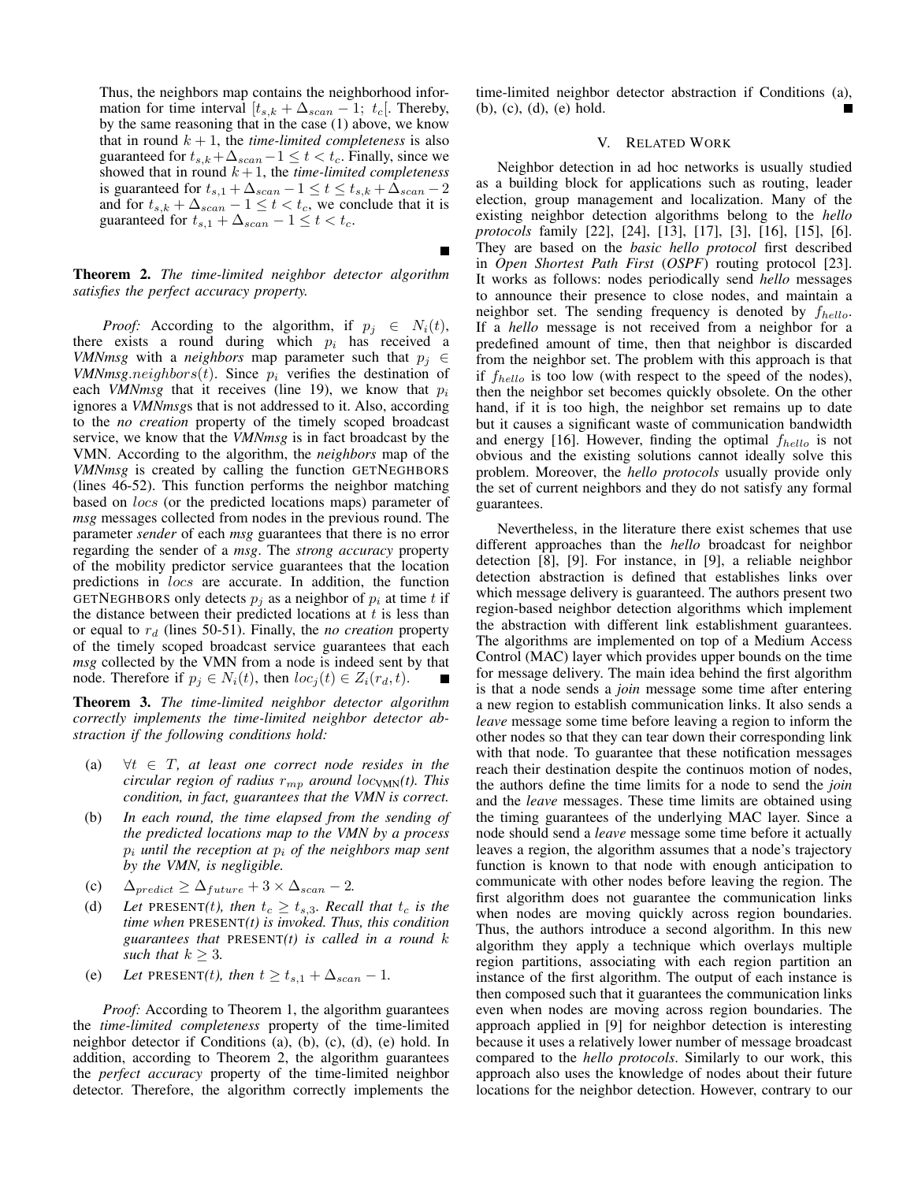Thus, the neighbors map contains the neighborhood information for time interval  $[t_{s,k} + \Delta_{scan} - 1; t_c]$ . Thereby, by the same reasoning that in the case (1) above, we know that in round  $k + 1$ , the *time-limited completeness* is also guaranteed for  $t_{s,k} + \Delta_{scan} - 1 \le t < t_c$ . Finally, since we showed that in round  $k + 1$ , the *time-limited completeness* is guaranteed for  $t_{s,1} + \Delta_{scan} - 1 \le t \le t_{s,k} + \Delta_{scan} - 2$ and for  $t_{s,k} + \Delta_{scan} - 1 \le t < t_c$ , we conclude that it is guaranteed for  $t_{s,1} + \Delta_{scan} - 1 \leq t < t_c$ .

# <span id="page-6-1"></span>Theorem 2. *The time-limited neighbor detector algorithm satisfies the perfect accuracy property.*

*Proof:* According to the algorithm, if  $p_j \in N_i(t)$ , there exists a round during which  $p_i$  has received a *VMNmsg* with a *neighbors* map parameter such that  $p_i \in$ *VMNmsg.neighbors(t)*. Since  $p_i$  verifies the destination of each *VMNmsg* that it receives (line [19\)](#page-4-22), we know that *p<sup>i</sup>* ignores a *VMNmsg*s that is not addressed to it. Also, according to the *no creation* property of the timely scoped broadcast service, we know that the *VMNmsg* is in fact broadcast by the VMN. According to the algorithm, the *neighbors* map of the *VMNmsg* is created by calling the function GETNEGHBORS (lines [46-](#page-4-13)[52\)](#page-4-14). This function performs the neighbor matching based on *locs* (or the predicted locations maps) parameter of *msg* messages collected from nodes in the previous round. The parameter *sender* of each *msg* guarantees that there is no error regarding the sender of a *msg*. The *strong accuracy* property of the mobility predictor service guarantees that the location predictions in *locs* are accurate. In addition, the function GETNEGHBORS only detects  $p_i$  as a neighbor of  $p_i$  at time  $t$  if the distance between their predicted locations at *t* is less than or equal to *r<sup>d</sup>* (lines [50](#page-4-23)[-51\)](#page-4-24). Finally, the *no creation* property of the timely scoped broadcast service guarantees that each *msg* collected by the VMN from a node is indeed sent by that node. Therefore if  $p_j \in N_i(t)$ , then  $loc_j(t) \in Z_i(r_d, t)$ .

Theorem 3. *The time-limited neighbor detector algorithm correctly implements the time-limited neighbor detector abstraction if the following conditions hold:*

- (a)  $\forall t \in T$ , at least one correct node resides in the *circular region of radius*  $r_{mp}$  *around*  $loc_{VMN}(t)$ *. This condition, in fact, guarantees that the VMN is correct.*
- (b) *In each round, the time elapsed from the sending of the predicted locations map to the VMN by a process p<sup>i</sup> until the reception at p<sup>i</sup> of the neighbors map sent by the VMN, is negligible.*
- (c)  $\Delta_{predict} \geq \Delta_{future} + 3 \times \Delta_{scan} 2$ .
- (d) *Let* PRESENT(*t*), then  $t_c \geq t_{s,3}$ . Recall that  $t_c$  is the *time when* PRESENT*(t) is invoked. Thus, this condition guarantees that* PRESENT*(t) is called in a round k such that*  $k \geq 3$ *.*
- (e) Let PRESENT(*t*), then  $t \ge t_{s,1} + \Delta_{scan} 1$ .

*Proof:* According to Theorem [1,](#page-3-2) the algorithm guarantees the *time-limited completeness* property of the time-limited neighbor detector if Conditions (a), (b), (c), (d), (e) hold. In addition, according to Theorem [2,](#page-6-1) the algorithm guarantees the *perfect accuracy* property of the time-limited neighbor detector. Therefore, the algorithm correctly implements the time-limited neighbor detector abstraction if Conditions (a), (b), (c), (d), (e) hold.

# V. RELATED WORK

<span id="page-6-0"></span>Neighbor detection in ad hoc networks is usually studied as a building block for applications such as routing, leader election, group management and localization. Many of the existing neighbor detection algorithms belong to the *hello protocols* family [\[22\]](#page-7-13), [\[24\]](#page-7-14), [\[13\]](#page-7-15), [\[17\]](#page-7-16), [\[3\]](#page-7-17), [\[16\]](#page-7-18), [\[15\]](#page-7-19), [\[6\]](#page-7-1). They are based on the *basic hello protocol* first described in *Open Shortest Path First* (*OSPF*) routing protocol [\[23\]](#page-7-20). It works as follows: nodes periodically send *hello* messages to announce their presence to close nodes, and maintain a neighbor set. The sending frequency is denoted by *fhello*. If a *hello* message is not received from a neighbor for a predefined amount of time, then that neighbor is discarded from the neighbor set. The problem with this approach is that if *fhello* is too low (with respect to the speed of the nodes), then the neighbor set becomes quickly obsolete. On the other hand, if it is too high, the neighbor set remains up to date but it causes a significant waste of communication bandwidth and energy [\[16\]](#page-7-18). However, finding the optimal *fhello* is not obvious and the existing solutions cannot ideally solve this problem. Moreover, the *hello protocols* usually provide only the set of current neighbors and they do not satisfy any formal guarantees.

Nevertheless, in the literature there exist schemes that use different approaches than the *hello* broadcast for neighbor detection [\[8\]](#page-7-21), [\[9\]](#page-7-22). For instance, in [\[9\]](#page-7-22), a reliable neighbor detection abstraction is defined that establishes links over which message delivery is guaranteed. The authors present two region-based neighbor detection algorithms which implement the abstraction with different link establishment guarantees. The algorithms are implemented on top of a Medium Access Control (MAC) layer which provides upper bounds on the time for message delivery. The main idea behind the first algorithm is that a node sends a *join* message some time after entering a new region to establish communication links. It also sends a *leave* message some time before leaving a region to inform the other nodes so that they can tear down their corresponding link with that node. To guarantee that these notification messages reach their destination despite the continuos motion of nodes, the authors define the time limits for a node to send the *join* and the *leave* messages. These time limits are obtained using the timing guarantees of the underlying MAC layer. Since a node should send a *leave* message some time before it actually leaves a region, the algorithm assumes that a node's trajectory function is known to that node with enough anticipation to communicate with other nodes before leaving the region. The first algorithm does not guarantee the communication links when nodes are moving quickly across region boundaries. Thus, the authors introduce a second algorithm. In this new algorithm they apply a technique which overlays multiple region partitions, associating with each region partition an instance of the first algorithm. The output of each instance is then composed such that it guarantees the communication links even when nodes are moving across region boundaries. The approach applied in [\[9\]](#page-7-22) for neighbor detection is interesting because it uses a relatively lower number of message broadcast compared to the *hello protocols*. Similarly to our work, this approach also uses the knowledge of nodes about their future locations for the neighbor detection. However, contrary to our